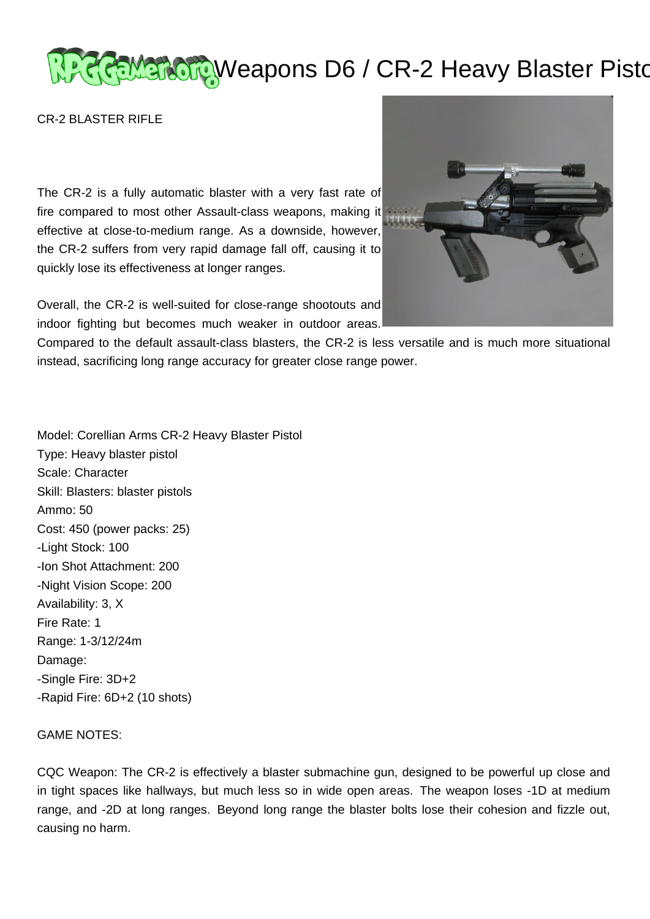# **KEMEROR Weapons D6 / CR-2 Heavy Blaster Pistol**

CR-2 BLASTER RIFLE

The CR-2 is a fully automatic blaster with a very fast rate of fire compared to most other Assault-class weapons, making it effective at close-to-medium range. As a downside, however, the CR-2 suffers from very rapid damage fall off, causing it to quickly lose its effectiveness at longer ranges.



Overall, the CR-2 is well-suited for close-range shootouts and indoor fighting but becomes much weaker in outdoor areas.

Compared to the default assault-class blasters, the CR-2 is less versatile and is much more situational instead, sacrificing long range accuracy for greater close range power.

Model: Corellian Arms CR-2 Heavy Blaster Pistol Type: Heavy blaster pistol Scale: Character Skill: Blasters: blaster pistols Ammo: 50 Cost: 450 (power packs: 25) -Light Stock: 100 -Ion Shot Attachment: 200 -Night Vision Scope: 200 Availability: 3, X Fire Rate: 1 Range: 1-3/12/24m Damage: -Single Fire: 3D+2 -Rapid Fire: 6D+2 (10 shots)

## GAME NOTES:

CQC Weapon: The CR-2 is effectively a blaster submachine gun, designed to be powerful up close and in tight spaces like hallways, but much less so in wide open areas. The weapon loses -1D at medium range, and -2D at long ranges. Beyond long range the blaster bolts lose their cohesion and fizzle out, causing no harm.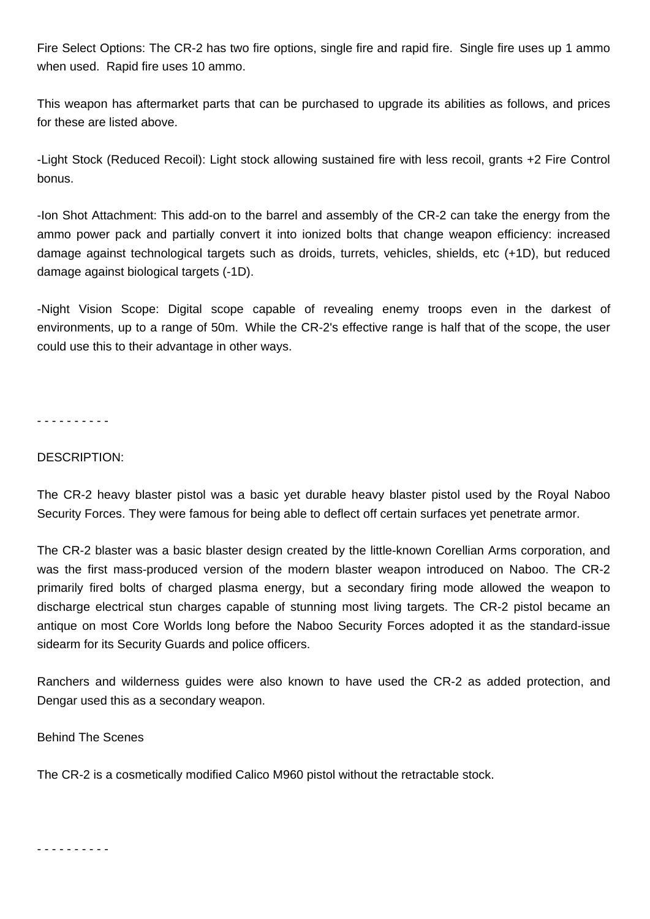Fire Select Options: The CR-2 has two fire options, single fire and rapid fire. Single fire uses up 1 ammo when used. Rapid fire uses 10 ammo.

This weapon has aftermarket parts that can be purchased to upgrade its abilities as follows, and prices for these are listed above.

-Light Stock (Reduced Recoil): Light stock allowing sustained fire with less recoil, grants +2 Fire Control bonus.

-Ion Shot Attachment: This add-on to the barrel and assembly of the CR-2 can take the energy from the ammo power pack and partially convert it into ionized bolts that change weapon efficiency: increased damage against technological targets such as droids, turrets, vehicles, shields, etc (+1D), but reduced damage against biological targets (-1D).

-Night Vision Scope: Digital scope capable of revealing enemy troops even in the darkest of environments, up to a range of 50m. While the CR-2's effective range is half that of the scope, the user could use this to their advantage in other ways.

- - - - - - - - - -

## DESCRIPTION:

The CR-2 heavy blaster pistol was a basic yet durable heavy blaster pistol used by the Royal Naboo Security Forces. They were famous for being able to deflect off certain surfaces yet penetrate armor.

The CR-2 blaster was a basic blaster design created by the little-known Corellian Arms corporation, and was the first mass-produced version of the modern blaster weapon introduced on Naboo. The CR-2 primarily fired bolts of charged plasma energy, but a secondary firing mode allowed the weapon to discharge electrical stun charges capable of stunning most living targets. The CR-2 pistol became an antique on most Core Worlds long before the Naboo Security Forces adopted it as the standard-issue sidearm for its Security Guards and police officers.

Ranchers and wilderness guides were also known to have used the CR-2 as added protection, and Dengar used this as a secondary weapon.

Behind The Scenes

The CR-2 is a cosmetically modified Calico M960 pistol without the retractable stock.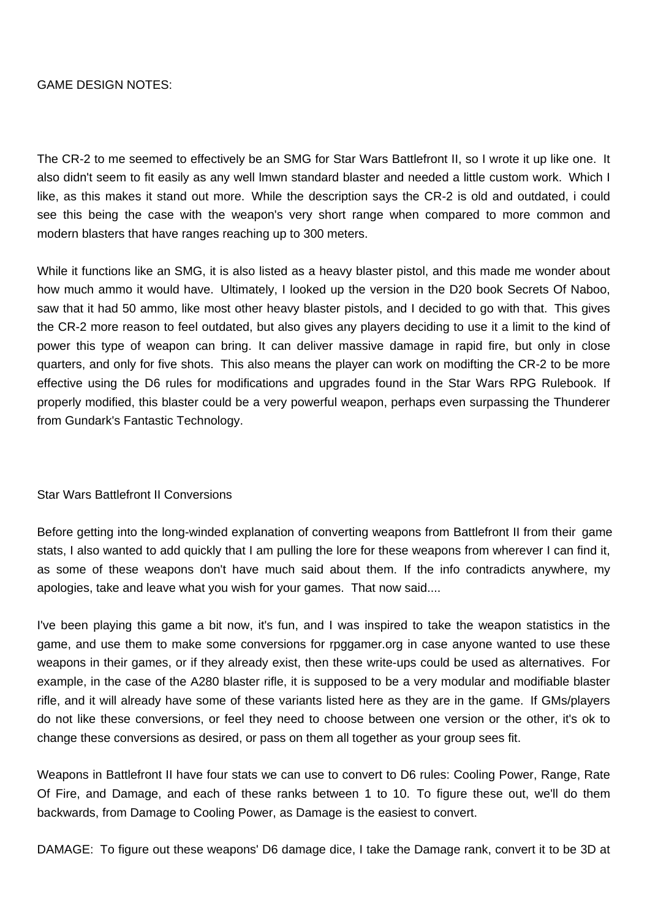### GAME DESIGN NOTES:

The CR-2 to me seemed to effectively be an SMG for Star Wars Battlefront II, so I wrote it up like one. It also didn't seem to fit easily as any well lmwn standard blaster and needed a little custom work. Which I like, as this makes it stand out more. While the description says the CR-2 is old and outdated, i could see this being the case with the weapon's very short range when compared to more common and modern blasters that have ranges reaching up to 300 meters.

While it functions like an SMG, it is also listed as a heavy blaster pistol, and this made me wonder about how much ammo it would have. Ultimately, I looked up the version in the D20 book Secrets Of Naboo, saw that it had 50 ammo, like most other heavy blaster pistols, and I decided to go with that. This gives the CR-2 more reason to feel outdated, but also gives any players deciding to use it a limit to the kind of power this type of weapon can bring. It can deliver massive damage in rapid fire, but only in close quarters, and only for five shots. This also means the player can work on modifting the CR-2 to be more effective using the D6 rules for modifications and upgrades found in the Star Wars RPG Rulebook. If properly modified, this blaster could be a very powerful weapon, perhaps even surpassing the Thunderer from Gundark's Fantastic Technology.

### Star Wars Battlefront II Conversions

Before getting into the long-winded explanation of converting weapons from Battlefront II from their game stats, I also wanted to add quickly that I am pulling the lore for these weapons from wherever I can find it, as some of these weapons don't have much said about them. If the info contradicts anywhere, my apologies, take and leave what you wish for your games. That now said....

I've been playing this game a bit now, it's fun, and I was inspired to take the weapon statistics in the game, and use them to make some conversions for rpggamer.org in case anyone wanted to use these weapons in their games, or if they already exist, then these write-ups could be used as alternatives. For example, in the case of the A280 blaster rifle, it is supposed to be a very modular and modifiable blaster rifle, and it will already have some of these variants listed here as they are in the game. If GMs/players do not like these conversions, or feel they need to choose between one version or the other, it's ok to change these conversions as desired, or pass on them all together as your group sees fit.

Weapons in Battlefront II have four stats we can use to convert to D6 rules: Cooling Power, Range, Rate Of Fire, and Damage, and each of these ranks between 1 to 10. To figure these out, we'll do them backwards, from Damage to Cooling Power, as Damage is the easiest to convert.

DAMAGE: To figure out these weapons' D6 damage dice, I take the Damage rank, convert it to be 3D at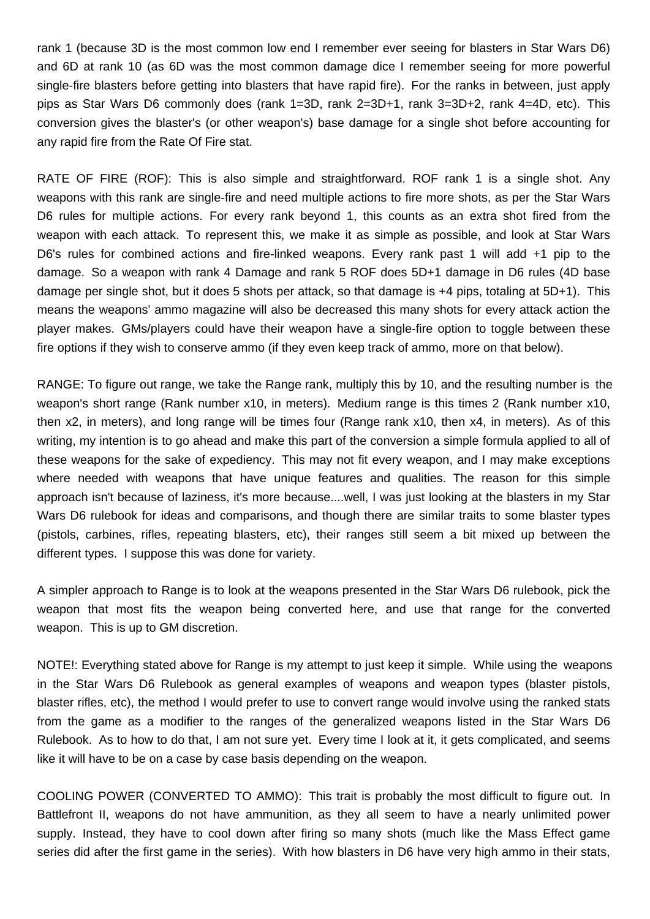rank 1 (because 3D is the most common low end I remember ever seeing for blasters in Star Wars D6) and 6D at rank 10 (as 6D was the most common damage dice I remember seeing for more powerful single-fire blasters before getting into blasters that have rapid fire). For the ranks in between, just apply pips as Star Wars D6 commonly does (rank 1=3D, rank 2=3D+1, rank 3=3D+2, rank 4=4D, etc). This conversion gives the blaster's (or other weapon's) base damage for a single shot before accounting for any rapid fire from the Rate Of Fire stat.

RATE OF FIRE (ROF): This is also simple and straightforward. ROF rank 1 is a single shot. Any weapons with this rank are single-fire and need multiple actions to fire more shots, as per the Star Wars D6 rules for multiple actions. For every rank beyond 1, this counts as an extra shot fired from the weapon with each attack. To represent this, we make it as simple as possible, and look at Star Wars D6's rules for combined actions and fire-linked weapons. Every rank past 1 will add +1 pip to the damage. So a weapon with rank 4 Damage and rank 5 ROF does 5D+1 damage in D6 rules (4D base damage per single shot, but it does 5 shots per attack, so that damage is +4 pips, totaling at 5D+1). This means the weapons' ammo magazine will also be decreased this many shots for every attack action the player makes. GMs/players could have their weapon have a single-fire option to toggle between these fire options if they wish to conserve ammo (if they even keep track of ammo, more on that below).

RANGE: To figure out range, we take the Range rank, multiply this by 10, and the resulting number is the weapon's short range (Rank number x10, in meters). Medium range is this times 2 (Rank number x10, then x2, in meters), and long range will be times four (Range rank x10, then x4, in meters). As of this writing, my intention is to go ahead and make this part of the conversion a simple formula applied to all of these weapons for the sake of expediency. This may not fit every weapon, and I may make exceptions where needed with weapons that have unique features and qualities. The reason for this simple approach isn't because of laziness, it's more because....well, I was just looking at the blasters in my Star Wars D6 rulebook for ideas and comparisons, and though there are similar traits to some blaster types (pistols, carbines, rifles, repeating blasters, etc), their ranges still seem a bit mixed up between the different types. I suppose this was done for variety.

A simpler approach to Range is to look at the weapons presented in the Star Wars D6 rulebook, pick the weapon that most fits the weapon being converted here, and use that range for the converted weapon. This is up to GM discretion.

NOTE!: Everything stated above for Range is my attempt to just keep it simple. While using the weapons in the Star Wars D6 Rulebook as general examples of weapons and weapon types (blaster pistols, blaster rifles, etc), the method I would prefer to use to convert range would involve using the ranked stats from the game as a modifier to the ranges of the generalized weapons listed in the Star Wars D6 Rulebook. As to how to do that, I am not sure yet. Every time I look at it, it gets complicated, and seems like it will have to be on a case by case basis depending on the weapon.

COOLING POWER (CONVERTED TO AMMO): This trait is probably the most difficult to figure out. In Battlefront II, weapons do not have ammunition, as they all seem to have a nearly unlimited power supply. Instead, they have to cool down after firing so many shots (much like the Mass Effect game series did after the first game in the series). With how blasters in D6 have very high ammo in their stats,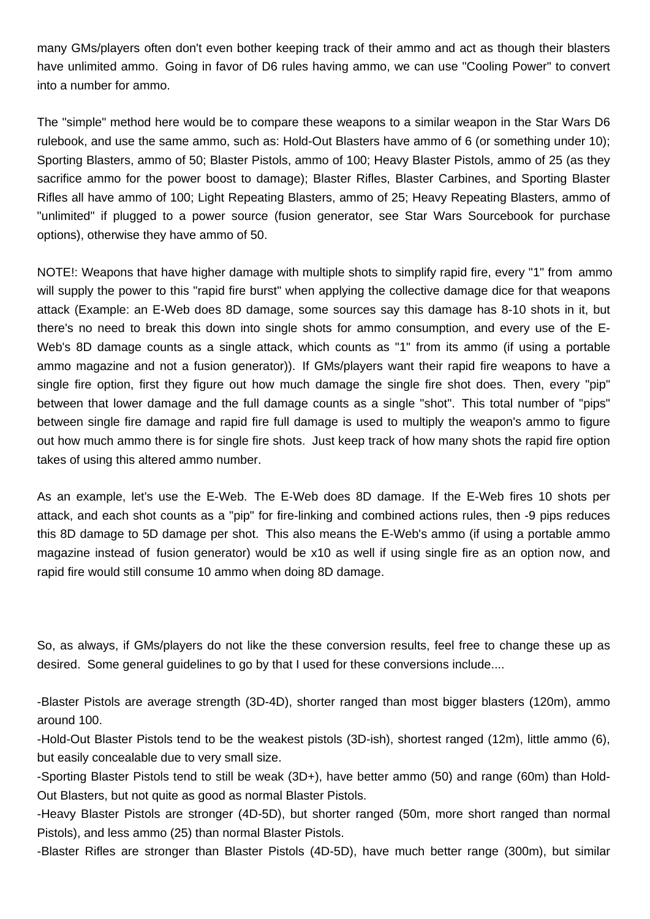many GMs/players often don't even bother keeping track of their ammo and act as though their blasters have unlimited ammo. Going in favor of D6 rules having ammo, we can use "Cooling Power" to convert into a number for ammo.

The "simple" method here would be to compare these weapons to a similar weapon in the Star Wars D6 rulebook, and use the same ammo, such as: Hold-Out Blasters have ammo of 6 (or something under 10); Sporting Blasters, ammo of 50; Blaster Pistols, ammo of 100; Heavy Blaster Pistols, ammo of 25 (as they sacrifice ammo for the power boost to damage); Blaster Rifles, Blaster Carbines, and Sporting Blaster Rifles all have ammo of 100; Light Repeating Blasters, ammo of 25; Heavy Repeating Blasters, ammo of "unlimited" if plugged to a power source (fusion generator, see Star Wars Sourcebook for purchase options), otherwise they have ammo of 50.

NOTE!: Weapons that have higher damage with multiple shots to simplify rapid fire, every "1" from ammo will supply the power to this "rapid fire burst" when applying the collective damage dice for that weapons attack (Example: an E-Web does 8D damage, some sources say this damage has 8-10 shots in it, but there's no need to break this down into single shots for ammo consumption, and every use of the E-Web's 8D damage counts as a single attack, which counts as "1" from its ammo (if using a portable ammo magazine and not a fusion generator)). If GMs/players want their rapid fire weapons to have a single fire option, first they figure out how much damage the single fire shot does. Then, every "pip" between that lower damage and the full damage counts as a single "shot". This total number of "pips" between single fire damage and rapid fire full damage is used to multiply the weapon's ammo to figure out how much ammo there is for single fire shots. Just keep track of how many shots the rapid fire option takes of using this altered ammo number.

As an example, let's use the E-Web. The E-Web does 8D damage. If the E-Web fires 10 shots per attack, and each shot counts as a "pip" for fire-linking and combined actions rules, then -9 pips reduces this 8D damage to 5D damage per shot. This also means the E-Web's ammo (if using a portable ammo magazine instead of fusion generator) would be x10 as well if using single fire as an option now, and rapid fire would still consume 10 ammo when doing 8D damage.

So, as always, if GMs/players do not like the these conversion results, feel free to change these up as desired. Some general guidelines to go by that I used for these conversions include....

-Blaster Pistols are average strength (3D-4D), shorter ranged than most bigger blasters (120m), ammo around 100.

-Hold-Out Blaster Pistols tend to be the weakest pistols (3D-ish), shortest ranged (12m), little ammo (6), but easily concealable due to very small size.

-Sporting Blaster Pistols tend to still be weak (3D+), have better ammo (50) and range (60m) than Hold-Out Blasters, but not quite as good as normal Blaster Pistols.

-Heavy Blaster Pistols are stronger (4D-5D), but shorter ranged (50m, more short ranged than normal Pistols), and less ammo (25) than normal Blaster Pistols.

-Blaster Rifles are stronger than Blaster Pistols (4D-5D), have much better range (300m), but similar